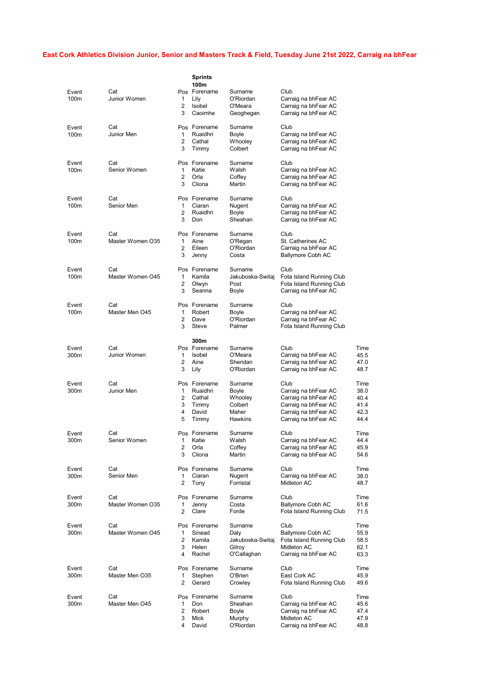## East Cork Athletics Division Junior, Senior and Masters Track & Field, Tuesday June 21st 2022, Carraig na bhFear

| Event<br>100 <sub>m</sub> | Cat<br>Junior Women     | $\mathbf{1}$<br>2<br>3           | <b>Sprints</b><br>100m<br>Pos Forename<br>Lily<br>Isobel<br>Caoimhe | Surname<br>O'Riordan<br>O'Meara<br>Geoghegan                 | Club<br>Carraig na bhFear AC<br>Carraig na bhFear AC<br>Carraig na bhFear AC                                                 |                                              |
|---------------------------|-------------------------|----------------------------------|---------------------------------------------------------------------|--------------------------------------------------------------|------------------------------------------------------------------------------------------------------------------------------|----------------------------------------------|
| Event<br>100m             | Cat<br>Junior Men       | 1<br>2<br>3                      | Pos Forename<br>Ruaidhri<br>Cathal<br>Timmy                         | Surname<br>Boyle<br>Whooley<br>Colbert                       | Club<br>Carraig na bhFear AC<br>Carraig na bhFear AC<br>Carraig na bhFear AC                                                 |                                              |
| Event<br>100m             | Cat<br>Senior Women     | $\mathbf{1}$<br>2<br>3           | Pos Forename<br>Katie<br>Orla<br>Cliona                             | Surname<br>Walsh<br>Coffey<br>Martin                         | Club<br>Carraig na bhFear AC<br>Carraig na bhFear AC<br>Carraig na bhFear AC                                                 |                                              |
| Event<br>100m             | Cat<br>Senior Men       | $\mathbf{1}$<br>2<br>3           | Pos Forename<br>Ciaran<br>Ruaidhri<br>Don                           | Surname<br>Nugent<br>Boyle<br>Sheahan                        | Club<br>Carraig na bhFear AC<br>Carraig na bhFear AC<br>Carraig na bhFear AC                                                 |                                              |
| Event<br>100m             | Cat<br>Master Women O35 | 1<br>2<br>3                      | Pos Forename<br>Aine<br>Eileen<br>Jenny                             | Surname<br>O'Regan<br>O'Riordan<br>Costa                     | Club<br>St. Catherines AC<br>Carraig na bhFear AC<br><b>Ballymore Cobh AC</b>                                                |                                              |
| Event<br>100m             | Cat<br>Master Women O45 | $\mathbf{1}$<br>2<br>3           | Pos Forename<br>Kamila<br>Olwyn<br>Seanna                           | Surname<br>Jakuboska-Switaj<br>Post<br>Boyle                 | Club<br>Fota Island Running Club<br>Fota Island Running Club<br>Carraig na bhFear AC                                         |                                              |
| Event<br>100m             | Cat<br>Master Men O45   | $\mathbf{1}$<br>2<br>3           | Pos Forename<br>Robert<br>Dave<br>Steve                             | Surname<br>Boyle<br>O'Riordan<br>Palmer                      | Club<br>Carraig na bhFear AC<br>Carraig na bhFear AC<br>Fota Island Running Club                                             |                                              |
| Event<br>300m             | Cat<br>Junior Women     | $\mathbf{1}$<br>2<br>3           | 300m<br>Pos Forename<br>Isobel<br>Aine<br>Lily                      | Surname<br>O'Meara<br>Sheridan<br>O'Riordan                  | Club<br>Carraig na bhFear AC<br>Carraig na bhFear AC<br>Carraig na bhFear AC                                                 | Time<br>45.5<br>47.0<br>48.7                 |
| Event<br>300m             | Cat<br>Junior Men       | $\mathbf{1}$<br>2<br>3<br>4<br>5 | Pos Forename<br>Ruaidhri<br>Cathal<br>Timmy<br>David<br>Timmy       | Surname<br>Boyle<br>Whooley<br>Colbert<br>Maher<br>Hawkins   | Club<br>Carraig na bhFear AC<br>Carraig na bhFear AC<br>Carraig na bhFear AC<br>Carraig na bhFear AC<br>Carraig na bhFear AC | Time<br>38.0<br>40.4<br>41.4<br>42.3<br>44.4 |
| Event<br>300m             | Cat<br>Senior Women     | 1<br>2<br>3                      | Pos Forename<br>Katie<br>Orla<br>Cliona                             | Surname<br>Walsh<br>Coffey<br>Martin                         | Club<br>Carraig na bhFear AC<br>Carraig na bhFear AC<br>Carraig na bhFear AC                                                 | Time<br>44.4<br>45.9<br>54.6                 |
| Event<br>300m             | Cat<br>Senior Men       | 1<br>2                           | Pos Forename<br>Ciaran<br>Tony                                      | Surname<br>Nugent<br>Forristal                               | Club<br>Carraig na bhFear AC<br>Midleton AC                                                                                  | Time<br>38.0<br>48.7                         |
| Event<br>300m             | Cat<br>Master Women O35 | 1<br>2                           | Pos Forename<br>Jenny<br>Clare                                      | Surname<br>Costa<br>Forde                                    | Club<br><b>Ballymore Cobh AC</b><br>Fota Island Running Club                                                                 | Time<br>61.6<br>71.5                         |
| Event<br>300m             | Cat<br>Master Women O45 | $\mathbf{1}$<br>2<br>3<br>4      | Pos Forename<br>Sinead<br>Kamila<br>Helen<br>Rachel                 | Surname<br>Daly<br>Jakuboska-Switaj<br>Gilroy<br>O'Callaghan | Club<br><b>Ballymore Cobh AC</b><br>Fota Island Running Club<br>Midleton AC<br>Carraig na bhFear AC                          | Time<br>55.9<br>58.5<br>62.1<br>63.3         |
| Event<br>300m             | Cat<br>Master Men O35   | 1<br>2                           | Pos Forename<br>Stephen<br>Gerard                                   | Surname<br>O'Brien<br>Crowley                                | Club<br>East Cork AC<br>Fota Island Running Club                                                                             | Time<br>45.9<br>49.6                         |
| Event<br>300m             | Cat<br>Master Men O45   | 1<br>2<br>3<br>4                 | Pos Forename<br>Don<br>Robert<br>Mick<br>David                      | Surname<br>Sheahan<br>Boyle<br>Murphy<br>O'Riordan           | Club<br>Carraig na bhFear AC<br>Carraig na bhFear AC<br>Midleton AC<br>Carraig na bhFear AC                                  | Time<br>45.6<br>47.4<br>47.9<br>48.8         |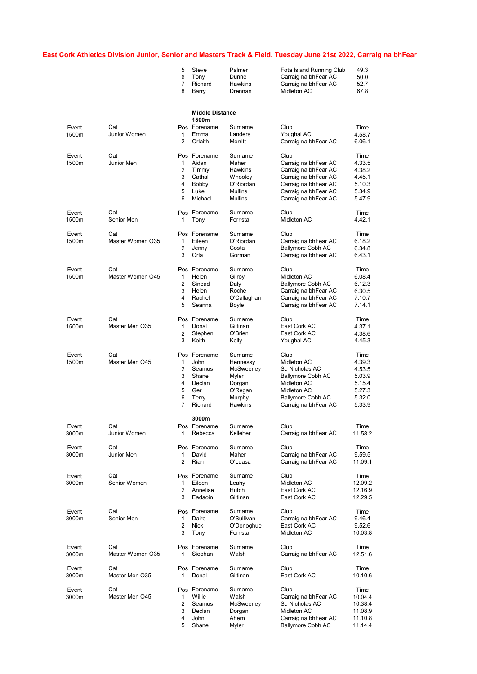## East Cork Athletics Division Junior, Senior and Masters Track & Field, Tuesday June 21st 2022, Carraig na bhFear

|       |                  | 5              | Steve                  | Palmer                           | Fota Island Running Club                     | 49.3               |
|-------|------------------|----------------|------------------------|----------------------------------|----------------------------------------------|--------------------|
|       |                  | 6              | Tony                   | Dunne                            | Carraig na bhFear AC                         | 50.0               |
|       |                  | 7              | Richard                | Hawkins                          | Carraig na bhFear AC                         | 52.7               |
|       |                  | 8              | Barry                  | Drennan                          | Midleton AC                                  | 67.8               |
|       |                  |                | <b>Middle Distance</b> |                                  |                                              |                    |
|       |                  |                | 1500m                  |                                  |                                              |                    |
| Event | Cat              |                | Pos Forename           | Surname                          | Club                                         | Time               |
| 1500m | Junior Women     | 1<br>2         | Emma<br>Orlaith        | Landers<br>Merritt               | Youghal AC<br>Carraig na bhFear AC           | 4.58.7<br>6.06.1   |
| Event | Cat              |                | Pos Forename           | Surname                          | Club                                         | Time               |
| 1500m | Junior Men       | 1              | Aidan                  | Maher                            | Carraig na bhFear AC                         | 4.33.5             |
|       |                  | 2              | Timmy                  | Hawkins                          | Carraig na bhFear AC                         | 4.38.2             |
|       |                  | 3              | Cathal                 | Whooley                          | Carraig na bhFear AC                         | 4.45.1             |
|       |                  | 4              | Bobby                  | O'Riordan                        | Carraig na bhFear AC                         | 5.10.3             |
|       |                  | 5<br>6         | Luke<br>Michael        | <b>Mullins</b><br><b>Mullins</b> | Carraig na bhFear AC<br>Carraig na bhFear AC | 5.34.9<br>5.47.9   |
| Event | Cat              |                | Pos Forename           | Surname                          | Club                                         | Time               |
| 1500m | Senior Men       | 1              | Tony                   | Forristal                        | Midleton AC                                  | 4.42.1             |
| Event | Cat              |                | Pos Forename           | Surname                          | Club                                         | Time               |
| 1500m | Master Women O35 | 1              | Eileen                 | O'Riordan                        | Carraig na bhFear AC                         | 6.18.2             |
|       |                  | 2              | Jenny                  | Costa                            | Ballymore Cobh AC                            | 6.34.8             |
|       |                  | 3              | Orla                   | Gorman                           | Carraig na bhFear AC                         | 6.43.1             |
| Event | Cat              |                | Pos Forename           | Surname                          | Club                                         | Time               |
| 1500m | Master Women O45 | 1              | Helen                  | Gilroy                           | Midleton AC                                  | 6.08.4             |
|       |                  | 2<br>3         | Sinead                 | Daly                             | Ballymore Cobh AC                            | 6.12.3             |
|       |                  | 4              | Helen<br>Rachel        | Roche<br>O'Callaghan             | Carraig na bhFear AC<br>Carraig na bhFear AC | 6.30.5<br>7.10.7   |
|       |                  | 5              | Seanna                 | Boyle                            | Carraig na bhFear AC                         | 7.14.1             |
| Event | Cat              |                | Pos Forename           | Surname                          | Club                                         | Time               |
| 1500m | Master Men O35   | 1              | Donal                  | Giltinan                         | East Cork AC                                 | 4.37.1             |
|       |                  | 2<br>3         | Stephen<br>Keith       | O'Brien<br>Kelly                 | East Cork AC<br>Youghal AC                   | 4.38.6<br>4.45.3   |
|       |                  |                |                        |                                  |                                              |                    |
| Event | Cat              |                | Pos Forename           | Surname                          | Club                                         | Time               |
| 1500m | Master Men O45   | 1<br>2         | John<br>Seamus         | Hennessy                         | Midleton AC                                  | 4.39.3             |
|       |                  | 3              | Shane                  | McSweeney<br>Myler               | St. Nicholas AC<br>Ballymore Cobh AC         | 4.53.5<br>5.03.9   |
|       |                  | 4              | Declan                 | Dorgan                           | Midleton AC                                  | 5.15.4             |
|       |                  | 5              | Ger                    | O'Regan                          | Midleton AC                                  | 5.27.3             |
|       |                  | 6              | Terry                  | Murphy                           | Ballymore Cobh AC                            | 5.32.0             |
|       |                  | 7              | Richard                | Hawkins                          | Carraig na bhFear AC                         | 5.33.9             |
|       |                  |                | 3000m                  |                                  |                                              |                    |
| Event | Cat              |                | Pos Forename           | Surname                          | Club                                         | Time               |
| 3000m | Junior Women     | 1              | Rebecca                | Kelleher                         | Carraig na bhFear AC                         | 11.58.2            |
| Event | Cat              |                | Pos Forename           | Surname                          | Club                                         | Time               |
| 3000m | Junior Men       | 1              | David                  | Maher                            | Carraig na bhFear AC                         | 9.59.5             |
|       |                  | 2              | Rian                   | O'Luasa                          | Carraig na bhFear AC                         | 11.09.1            |
| Event | Cat              |                | Pos Forename           | Surname                          | Club                                         | Time               |
| 3000m | Senior Women     | 1              | Eileen                 | Leahy                            | Midleton AC                                  | 12.09.2            |
|       |                  | 2<br>3         | Annelise<br>Eadaoin    | Hutch<br>Giltinan                | East Cork AC<br>East Cork AC                 | 12.16.9<br>12.29.5 |
| Event | Cat              |                | Pos Forename           | Surname                          | Club                                         | Time               |
| 3000m | Senior Men       | 1              | Daire                  | O'Sullivan                       | Carraig na bhFear AC                         | 9.46.4             |
|       |                  | 2              | <b>Nick</b>            | O'Donoghue                       | East Cork AC                                 | 9.52.6             |
|       |                  | 3              | Tony                   | Forristal                        | Midleton AC                                  | 10.03.8            |
| Event | Cat              |                | Pos Forename           | Surname                          | Club                                         | Time               |
| 3000m | Master Women O35 | 1              | Siobhan                | Walsh                            | Carraig na bhFear AC                         | 12.51.6            |
| Event | Cat              |                | Pos Forename           | Surname                          | Club                                         | Time               |
| 3000m | Master Men O35   | 1              | Donal                  | Giltinan                         | East Cork AC                                 | 10.10.6            |
| Event | Cat              |                | Pos Forename           | Surname                          | Club                                         | Time               |
| 3000m | Master Men O45   | 1              | Willie                 | Walsh                            | Carraig na bhFear AC                         | 10.04.4            |
|       |                  | $\overline{2}$ | Seamus                 | McSweeney                        | St. Nicholas AC                              | 10.38.4            |
|       |                  | 3<br>4         | Declan<br>John         | Dorgan<br>Ahern                  | Midleton AC<br>Carraig na bhFear AC          | 11.08.9<br>11.10.8 |
|       |                  | 5              | Shane                  | Myler                            | Ballymore Cobh AC                            | 11.14.4            |
|       |                  |                |                        |                                  |                                              |                    |